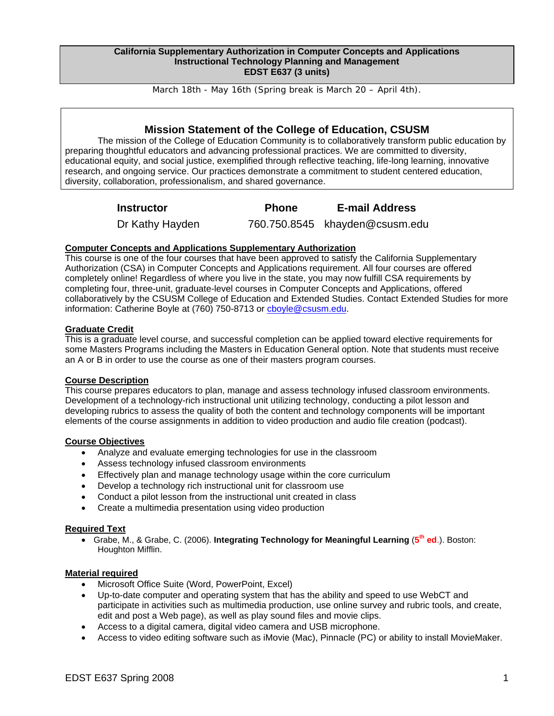#### **California Supplementary Authorization in Computer Concepts and Applications Instructional Technology Planning and Management EDST E637 (3 units)**

March 18th - May 16th (Spring break is March 20 – April 4th).

# **Mission Statement of the College of Education, CSUSM**

The mission of the College of Education Community is to collaboratively transform public education by preparing thoughtful educators and advancing professional practices. We are committed to diversity, educational equity, and social justice, exemplified through reflective teaching, life-long learning, innovative research, and ongoing service. Our practices demonstrate a commitment to student centered education, diversity, collaboration, professionalism, and shared governance.

**Instructor Phone E-mail Address** 

Dr Kathy Hayden 760.750.8545 khayden@csusm.edu

## **Computer Concepts and Applications Supplementary Authorization**

This course is one of the four courses that have been approved to satisfy the California Supplementary Authorization (CSA) in Computer Concepts and Applications requirement. All four courses are offered completely online! Regardless of where you live in the state, you may now fulfill CSA requirements by completing four, three-unit, graduate-level courses in Computer Concepts and Applications, offered collaboratively by the CSUSM College of Education and Extended Studies. Contact Extended Studies for more information: Catherine Boyle at (760) 750-8713 or choyle@csusm.edu.

## **Graduate Credit**

This is a graduate level course, and successful completion can be applied toward elective requirements for some Masters Programs including the Masters in Education General option. Note that students must receive an A or B in order to use the course as one of their masters program courses.

## **Course Description**

This course prepares educators to plan, manage and assess technology infused classroom environments. Development of a technology-rich instructional unit utilizing technology, conducting a pilot lesson and developing rubrics to assess the quality of both the content and technology components will be important elements of the course assignments in addition to video production and audio file creation (podcast).

## **Course Objectives**

- Analyze and evaluate emerging technologies for use in the classroom
- Assess technology infused classroom environments
- Effectively plan and manage technology usage within the core curriculum
- Develop a technology rich instructional unit for classroom use
- Conduct a pilot lesson from the instructional unit created in class
- Create a multimedia presentation using video production

## **Required Text**

• Grabe, M., & Grabe, C. (2006). **Integrating Technology for Meaningful Learning** (**5th ed**.). Boston: Houghton Mifflin.

### **Material required**

- Microsoft Office Suite (Word, PowerPoint, Excel)
- Up-to-date computer and operating system that has the ability and speed to use WebCT and participate in activities such as multimedia production, use online survey and rubric tools, and create, edit and post a Web page), as well as play sound files and movie clips.
- Access to a digital camera, digital video camera and USB microphone.
- Access to video editing software such as iMovie (Mac), Pinnacle (PC) or ability to install MovieMaker.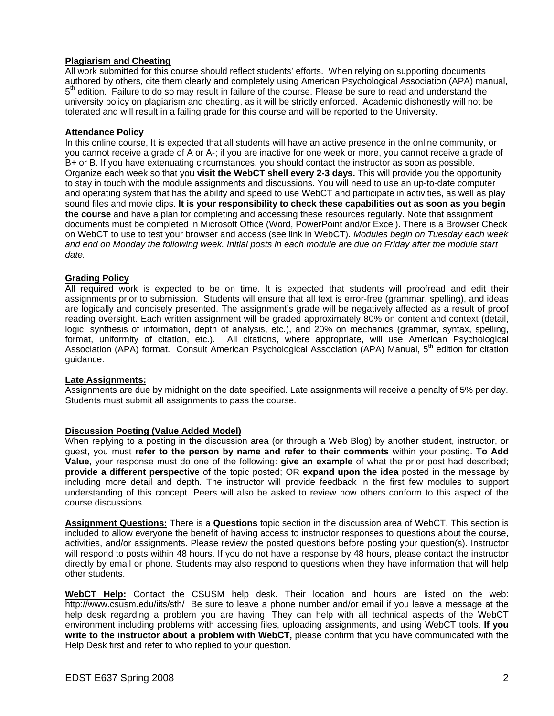## **Plagiarism and Cheating**

All work submitted for this course should reflect students' efforts. When relying on supporting documents authored by others, cite them clearly and completely using American Psychological Association (APA) manual, 5<sup>th</sup> edition. Failure to do so may result in failure of the course. Please be sure to read and understand the university policy on plagiarism and cheating, as it will be strictly enforced. Academic dishonestly will not be tolerated and will result in a failing grade for this course and will be reported to the University.

### **Attendance Policy**

In this online course, It is expected that all students will have an active presence in the online community, or you cannot receive a grade of A or A-; if you are inactive for one week or more, you cannot receive a grade of B+ or B. If you have extenuating circumstances, you should contact the instructor as soon as possible. Organize each week so that you **visit the WebCT shell every 2-3 days.** This will provide you the opportunity to stay in touch with the module assignments and discussions. You will need to use an up-to-date computer and operating system that has the ability and speed to use WebCT and participate in activities, as well as play sound files and movie clips. **It is your responsibility to check these capabilities out as soon as you begin the course** and have a plan for completing and accessing these resources regularly. Note that assignment documents must be completed in Microsoft Office (Word, PowerPoint and/or Excel). There is a Browser Check on WebCT to use to test your browser and access (see link in WebCT). *Modules begin on Tuesday each week and end on Monday the following week. Initial posts in each module are due on Friday after the module start date.* 

## **Grading Policy**

All required work is expected to be on time. It is expected that students will proofread and edit their assignments prior to submission. Students will ensure that all text is error-free (grammar, spelling), and ideas are logically and concisely presented. The assignment's grade will be negatively affected as a result of proof reading oversight. Each written assignment will be graded approximately 80% on content and context (detail, logic, synthesis of information, depth of analysis, etc.), and 20% on mechanics (grammar, syntax, spelling, format, uniformity of citation, etc.). All citations, where appropriate, will use American Psychological Association (APA) format. Consult American Psychological Association (APA) Manual, 5<sup>th</sup> edition for citation guidance.

### **Late Assignments:**

Assignments are due by midnight on the date specified. Late assignments will receive a penalty of 5% per day. Students must submit all assignments to pass the course.

### **Discussion Posting (Value Added Model)**

When replying to a posting in the discussion area (or through a Web Blog) by another student, instructor, or guest, you must **refer to the person by name and refer to their comments** within your posting. **To Add Value**, your response must do one of the following: **give an example** of what the prior post had described; **provide a different perspective** of the topic posted; OR **expand upon the idea** posted in the message by including more detail and depth. The instructor will provide feedback in the first few modules to support understanding of this concept. Peers will also be asked to review how others conform to this aspect of the course discussions.

**Assignment Questions:** There is a **Questions** topic section in the discussion area of WebCT. This section is included to allow everyone the benefit of having access to instructor responses to questions about the course, activities, and/or assignments. Please review the posted questions before posting your question(s). Instructor will respond to posts within 48 hours. If you do not have a response by 48 hours, please contact the instructor directly by email or phone. Students may also respond to questions when they have information that will help other students.

**WebCT Help:** Contact the CSUSM help desk. Their location and hours are listed on the web: http://www.csusm.edu/iits/sth/ Be sure to leave a phone number and/or email if you leave a message at the help desk regarding a problem you are having. They can help with all technical aspects of the WebCT environment including problems with accessing files, uploading assignments, and using WebCT tools. **If you write to the instructor about a problem with WebCT,** please confirm that you have communicated with the Help Desk first and refer to who replied to your question.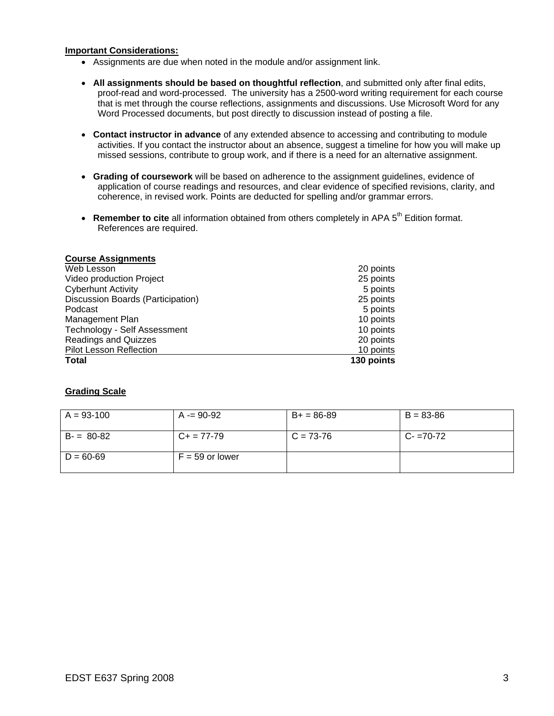### **Important Considerations:**

- Assignments are due when noted in the module and/or assignment link.
- **All assignments should be based on thoughtful reflection**, and submitted only after final edits, proof-read and word-processed. The university has a 2500-word writing requirement for each course that is met through the course reflections, assignments and discussions. Use Microsoft Word for any Word Processed documents, but post directly to discussion instead of posting a file.
- **Contact instructor in advance** of any extended absence to accessing and contributing to module activities. If you contact the instructor about an absence, suggest a timeline for how you will make up missed sessions, contribute to group work, and if there is a need for an alternative assignment.
- **Grading of coursework** will be based on adherence to the assignment guidelines, evidence of application of course readings and resources, and clear evidence of specified revisions, clarity, and coherence, in revised work. Points are deducted for spelling and/or grammar errors.
- **Remember to cite** all information obtained from others completely in APA 5<sup>th</sup> Edition format. References are required.

| <b>Course Assignments</b>         |            |
|-----------------------------------|------------|
| Web Lesson                        | 20 points  |
| Video production Project          | 25 points  |
| <b>Cyberhunt Activity</b>         | 5 points   |
| Discussion Boards (Participation) | 25 points  |
| Podcast                           | 5 points   |
| Management Plan                   | 10 points  |
| Technology - Self Assessment      | 10 points  |
| <b>Readings and Quizzes</b>       | 20 points  |
| <b>Pilot Lesson Reflection</b>    | 10 points  |
| <b>Total</b>                      | 130 points |

## **Grading Scale**

| $A = 93-100$  | $A = 90-92$       | $B+ = 86-89$ | $B = 83 - 86$ |
|---------------|-------------------|--------------|---------------|
| $B = 80-82$   | $C_{+}$ = 77-79   | $C = 73-76$  | $C - 70-72$   |
| $D = 60 - 69$ | $F = 59$ or lower |              |               |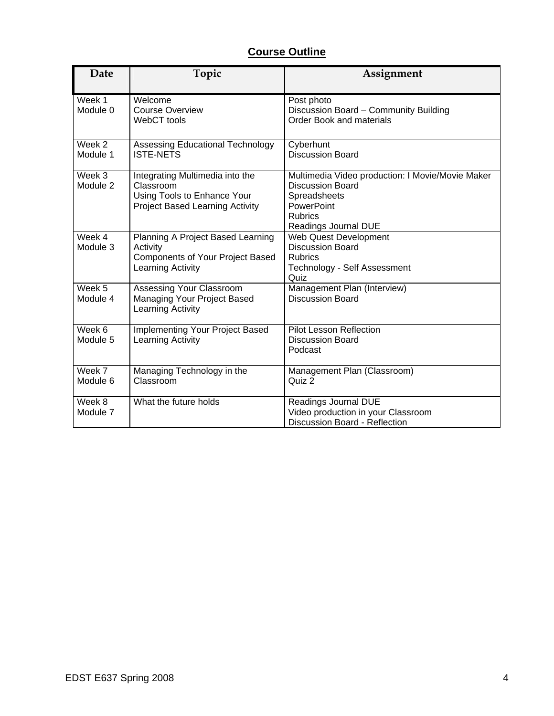# **Course Outline**

| Date               | Topic                                                                                                          | Assignment                                                                                                                                          |
|--------------------|----------------------------------------------------------------------------------------------------------------|-----------------------------------------------------------------------------------------------------------------------------------------------------|
| Week 1<br>Module 0 | Welcome<br><b>Course Overview</b><br>WebCT tools                                                               | Post photo<br>Discussion Board - Community Building<br><b>Order Book and materials</b>                                                              |
| Week 2<br>Module 1 | Assessing Educational Technology<br><b>ISTE-NETS</b>                                                           | Cyberhunt<br><b>Discussion Board</b>                                                                                                                |
| Week 3<br>Module 2 | Integrating Multimedia into the<br>Classroom<br>Using Tools to Enhance Your<br>Project Based Learning Activity | Multimedia Video production: I Movie/Movie Maker<br><b>Discussion Board</b><br>Spreadsheets<br>PowerPoint<br><b>Rubrics</b><br>Readings Journal DUE |
| Week 4<br>Module 3 | Planning A Project Based Learning<br>Activity<br><b>Components of Your Project Based</b><br>Learning Activity  | <b>Web Quest Development</b><br><b>Discussion Board</b><br><b>Rubrics</b><br>Technology - Self Assessment<br>Quiz                                   |
| Week 5<br>Module 4 | Assessing Your Classroom<br>Managing Your Project Based<br>Learning Activity                                   | Management Plan (Interview)<br><b>Discussion Board</b>                                                                                              |
| Week 6<br>Module 5 | Implementing Your Project Based<br>Learning Activity                                                           | <b>Pilot Lesson Reflection</b><br><b>Discussion Board</b><br>Podcast                                                                                |
| Week 7<br>Module 6 | Managing Technology in the<br>Classroom                                                                        | Management Plan (Classroom)<br>Quiz 2                                                                                                               |
| Week 8<br>Module 7 | What the future holds                                                                                          | Readings Journal DUE<br>Video production in your Classroom<br>Discussion Board - Reflection                                                         |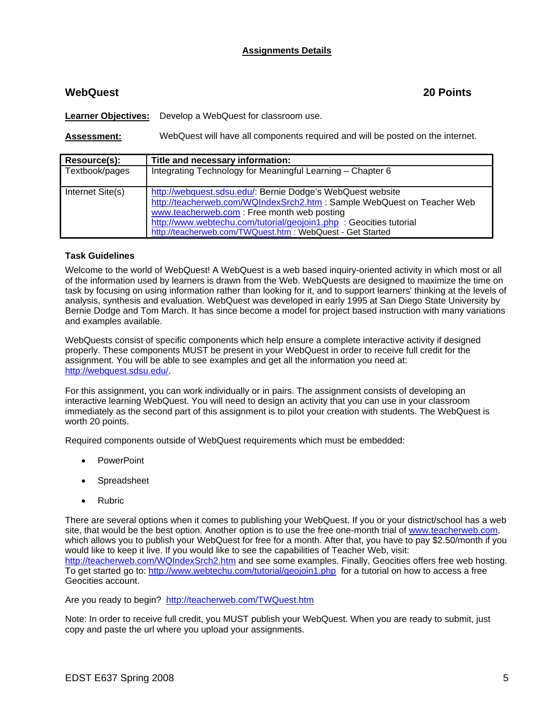## **Assignments Details**

# **WebQuest 20 Points**

**Learner Objectives:** Develop a WebQuest for classroom use.

**Assessment:** WebQuest will have all components required and will be posted on the internet.

| Resource(s):     | Title and necessary information:                                        |
|------------------|-------------------------------------------------------------------------|
| Textbook/pages   | Integrating Technology for Meaningful Learning - Chapter 6              |
|                  |                                                                         |
| Internet Site(s) | http://webquest.sdsu.edu/: Bernie Dodge's WebQuest website              |
|                  | http://teacherweb.com/WQIndexSrch2.htm : Sample WebQuest on Teacher Web |
|                  | www.teacherweb.com: Free month web posting                              |
|                  | http://www.webtechu.com/tutorial/geojoin1.php : Geocities tutorial      |
|                  | http://teacherweb.com/TWQuest.htm : WebQuest - Get Started              |

## **Task Guidelines**

Welcome to the world of WebQuest! A WebQuest is a web based inquiry-oriented activity in which most or all of the information used by learners is drawn from the Web. WebQuests are designed to maximize the time on task by focusing on using information rather than looking for it, and to support learners' thinking at the levels of analysis, synthesis and evaluation. WebQuest was developed in early 1995 at San Diego State University by Bernie Dodge and Tom March. It has since become a model for project based instruction with many variations and examples available.

WebQuests consist of specific components which help ensure a complete interactive activity if designed properly. These components MUST be present in your WebQuest in order to receive full credit for the assignment. You will be able to see examples and get all the information you need at: http://webquest.sdsu.edu/.

For this assignment, you can work individually or in pairs. The assignment consists of developing an interactive learning WebQuest. You will need to design an activity that you can use in your classroom immediately as the second part of this assignment is to pilot your creation with students. The WebQuest is worth 20 points.

Required components outside of WebQuest requirements which must be embedded:

- PowerPoint
- **Spreadsheet**
- Rubric

There are several options when it comes to publishing your WebQuest. If you or your district/school has a web site, that would be the best option. Another option is to use the free one-month trial of www.teacherweb.com, which allows you to publish your WebQuest for free for a month. After that, you have to pay \$2.50/month if you would like to keep it live. If you would like to see the capabilities of Teacher Web, visit: http://teacherweb.com/WQIndexSrch2.htm and see some examples. Finally, Geocities offers free web hosting. To get started go to: http://www.webtechu.com/tutorial/geojoin1.php for a tutorial on how to access a free Geocities account.

Are you ready to begin? http://teacherweb.com/TWQuest.htm

Note: In order to receive full credit, you MUST publish your WebQuest. When you are ready to submit, just copy and paste the url where you upload your assignments.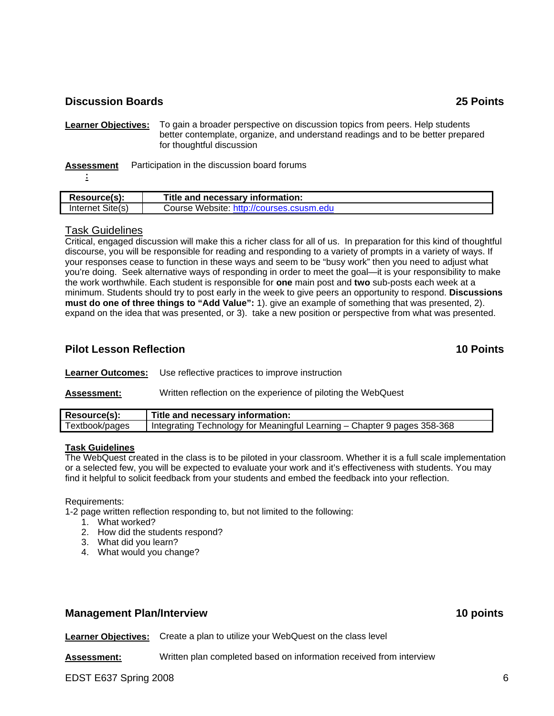# **Discussion Boards 25 Points**

**Learner Objectives:** To gain a broader perspective on discussion topics from peers. Help students better contemplate, organize, and understand readings and to be better prepared for thoughtful discussion

**Assessment** Participation in the discussion board forums

**:**

| Resource(s):     | Title and necessary information:         |
|------------------|------------------------------------------|
| Internet Site(s) | Course Website: http://courses.csusm.edu |

## Task Guidelines

Critical, engaged discussion will make this a richer class for all of us. In preparation for this kind of thoughtful discourse, you will be responsible for reading and responding to a variety of prompts in a variety of ways. If your responses cease to function in these ways and seem to be "busy work" then you need to adjust what you're doing. Seek alternative ways of responding in order to meet the goal—it is your responsibility to make the work worthwhile. Each student is responsible for **one** main post and **two** sub-posts each week at a minimum. Students should try to post early in the week to give peers an opportunity to respond. **Discussions must do one of three things to "Add Value":** 1). give an example of something that was presented, 2). expand on the idea that was presented, or 3). take a new position or perspective from what was presented.

# **Pilot Lesson Reflection 10 Points**

**Learner Outcomes:** Use reflective practices to improve instruction

**Assessment:** Written reflection on the experience of piloting the WebQuest

| Resource(s):   | Title and necessary information:                                                      |
|----------------|---------------------------------------------------------------------------------------|
| Textbook/pages | <sup>1</sup> Integrating Technology for Meaningful Learning - Chapter 9 pages 358-368 |

### **Task Guidelines**

The WebQuest created in the class is to be piloted in your classroom. Whether it is a full scale implementation or a selected few, you will be expected to evaluate your work and it's effectiveness with students. You may find it helpful to solicit feedback from your students and embed the feedback into your reflection.

#### Requirements:

1-2 page written reflection responding to, but not limited to the following:

- 1. What worked?
- 2. How did the students respond?
- 3. What did you learn?
- 4. What would you change?

## **Management Plan/Interview 10 points in the set of the set of the set of the set of the set of the set of the set of the set of the set of the set of the set of the set of the set of the set of the set of the set of the se**

**Learner Objectives:** Create a plan to utilize your WebQuest on the class level

**Assessment:** Written plan completed based on information received from interview

EDST E637 Spring 2008 6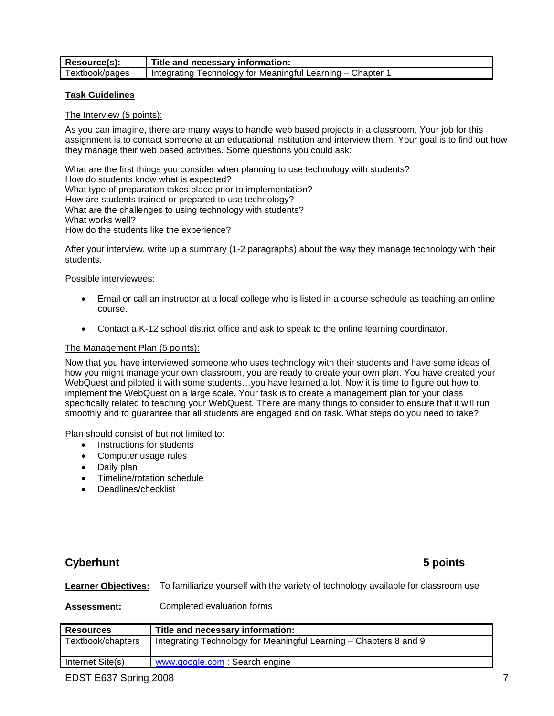| Resource(s):   | Title and necessary information:                         |
|----------------|----------------------------------------------------------|
| Textbook/pages | lntegrating Technology for Meaningful Learning – Chapter |

### **Task Guidelines**

The Interview (5 points):

As you can imagine, there are many ways to handle web based projects in a classroom. Your job for this assignment is to contact someone at an educational institution and interview them. Your goal is to find out how they manage their web based activities. Some questions you could ask:

What are the first things you consider when planning to use technology with students? How do students know what is expected? What type of preparation takes place prior to implementation? How are students trained or prepared to use technology? What are the challenges to using technology with students? What works well? How do the students like the experience?

After your interview, write up a summary (1-2 paragraphs) about the way they manage technology with their students.

Possible interviewees:

- Email or call an instructor at a local college who is listed in a course schedule as teaching an online course.
- Contact a K-12 school district office and ask to speak to the online learning coordinator.

## The Management Plan (5 points):

Now that you have interviewed someone who uses technology with their students and have some ideas of how you might manage your own classroom, you are ready to create your own plan. You have created your WebQuest and piloted it with some students…you have learned a lot. Now it is time to figure out how to implement the WebQuest on a large scale. Your task is to create a management plan for your class specifically related to teaching your WebQuest. There are many things to consider to ensure that it will run smoothly and to guarantee that all students are engaged and on task. What steps do you need to take?

Plan should consist of but not limited to:

- Instructions for students
- Computer usage rules
- Daily plan
- Timeline/rotation schedule
- Deadlines/checklist

# **Cyberhunt 5 points**

**Learner Objectives:** To familiarize yourself with the variety of technology available for classroom use

**Assessment:** Completed evaluation forms

| <b>Resources</b>  | Title and necessary information:                                  |
|-------------------|-------------------------------------------------------------------|
| Textbook/chapters | Integrating Technology for Meaningful Learning – Chapters 8 and 9 |
| Internet Site(s)  | www.google.com: Search engine                                     |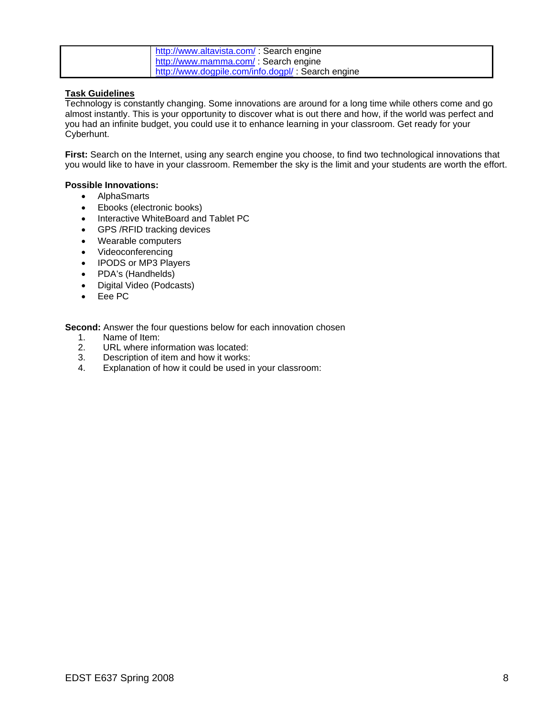| http://www.altavista.com/: Search engine          |
|---------------------------------------------------|
| http://www.mamma.com/: Search engine              |
| http://www.dogpile.com/info.dogpl/: Search engine |

## **Task Guidelines**

Technology is constantly changing. Some innovations are around for a long time while others come and go almost instantly. This is your opportunity to discover what is out there and how, if the world was perfect and you had an infinite budget, you could use it to enhance learning in your classroom. Get ready for your Cyberhunt.

**First:** Search on the Internet, using any search engine you choose, to find two technological innovations that you would like to have in your classroom. Remember the sky is the limit and your students are worth the effort.

## **Possible Innovations:**

- AlphaSmarts
- Ebooks (electronic books)
- Interactive WhiteBoard and Tablet PC
- GPS /RFID tracking devices
- Wearable computers
- Videoconferencing
- IPODS or MP3 Players
- PDA's (Handhelds)
- Digital Video (Podcasts)
- Eee PC

**Second:** Answer the four questions below for each innovation chosen

- 1. Name of Item:
- 2. URL where information was located:<br>3. Description of item and how it works:
- Description of item and how it works:
- 4. Explanation of how it could be used in your classroom: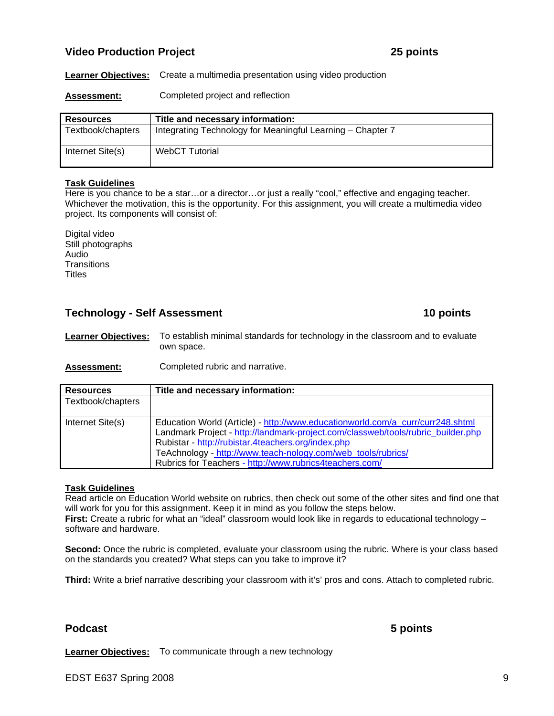# **Video Production Project 25 points**

**Learner Objectives:** Create a multimedia presentation using video production

**Assessment:** Completed project and reflection

| <b>Resources</b>  | Title and necessary information:                           |
|-------------------|------------------------------------------------------------|
| Textbook/chapters | Integrating Technology for Meaningful Learning - Chapter 7 |
| Internet Site(s)  | <b>WebCT Tutorial</b>                                      |

### **Task Guidelines**

Here is you chance to be a star...or a director...or just a really "cool," effective and engaging teacher. Whichever the motivation, this is the opportunity. For this assignment, you will create a multimedia video project. Its components will consist of:

Digital video Still photographs Audio **Transitions Titles** 

## **Technology - Self Assessment 10 points 10 points**

**Learner Objectives:** To establish minimal standards for technology in the classroom and to evaluate own space.

**Assessment:** Completed rubric and narrative.

| <b>Resources</b>  | Title and necessary information:                                                                                                                                                                                                                                                                                                                    |
|-------------------|-----------------------------------------------------------------------------------------------------------------------------------------------------------------------------------------------------------------------------------------------------------------------------------------------------------------------------------------------------|
| Textbook/chapters |                                                                                                                                                                                                                                                                                                                                                     |
| Internet Site(s)  | Education World (Article) - http://www.educationworld.com/a_curr/curr248.shtml<br>Landmark Project - http://landmark-project.com/classweb/tools/rubric_builder.php<br>Rubistar - http://rubistar.4teachers.org/index.php<br>TeAchnology - http://www.teach-nology.com/web_tools/rubrics/<br>Rubrics for Teachers - http://www.rubrics4teachers.com/ |

### **Task Guidelines**

Read article on Education World website on rubrics, then check out some of the other sites and find one that will work for you for this assignment. Keep it in mind as you follow the steps below. **First:** Create a rubric for what an "ideal" classroom would look like in regards to educational technology – software and hardware.

**Second:** Once the rubric is completed, evaluate your classroom using the rubric. Where is your class based on the standards you created? What steps can you take to improve it?

**Third:** Write a brief narrative describing your classroom with it's' pros and cons. Attach to completed rubric.

## **Podcast 5 points**

**Learner Objectives:** To communicate through a new technology